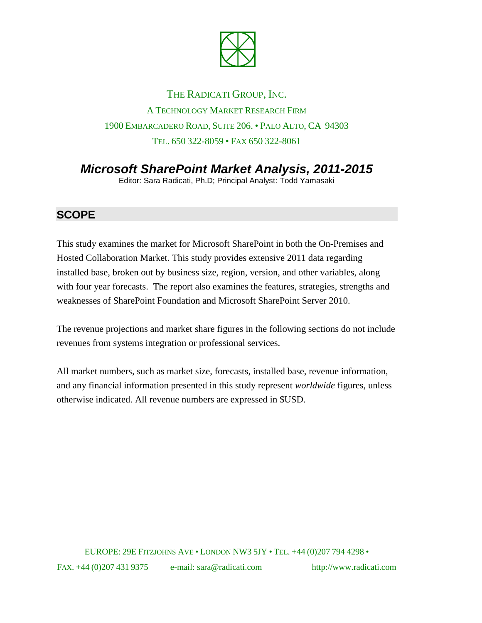

## THE RADICATI GROUP, INC. A TECHNOLOGY MARKET RESEARCH FIRM 1900 EMBARCADERO ROAD, SUITE 206. • PALO ALTO, CA 94303 TEL. 650 322-8059 • FAX 650 322-8061

*Microsoft SharePoint Market Analysis, 2011-2015*

Editor: Sara Radicati, Ph.D; Principal Analyst: Todd Yamasaki

## **SCOPE**

This study examines the market for Microsoft SharePoint in both the On-Premises and Hosted Collaboration Market. This study provides extensive 2011 data regarding installed base, broken out by business size, region, version, and other variables, along with four year forecasts. The report also examines the features, strategies, strengths and weaknesses of SharePoint Foundation and Microsoft SharePoint Server 2010.

The revenue projections and market share figures in the following sections do not include revenues from systems integration or professional services.

All market numbers, such as market size, forecasts, installed base, revenue information, and any financial information presented in this study represent *worldwide* figures, unless otherwise indicated. All revenue numbers are expressed in \$USD.

EUROPE: 29E FITZJOHNS AVE • LONDON NW3 5JY • TEL. +44 (0)207 794 4298 • FAX. +44 (0)207 431 9375 e-mail: sara@radicati.com http://www.radicati.com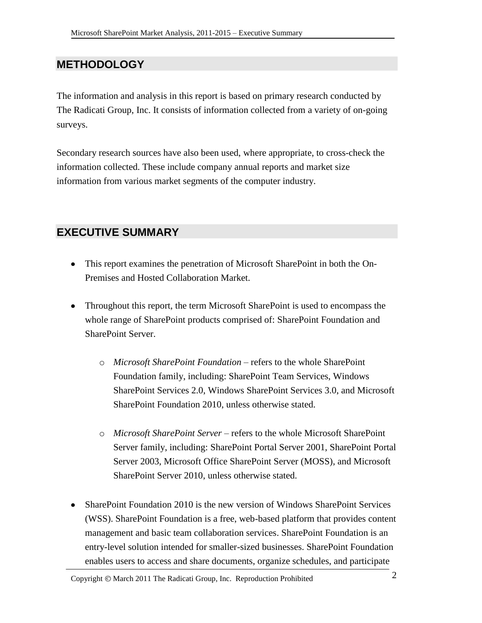## **METHODOLOGY**

The information and analysis in this report is based on primary research conducted by The Radicati Group, Inc. It consists of information collected from a variety of on-going surveys.

Secondary research sources have also been used, where appropriate, to cross-check the information collected. These include company annual reports and market size information from various market segments of the computer industry.

## **EXECUTIVE SUMMARY**

- This report examines the penetration of Microsoft SharePoint in both the On-Premises and Hosted Collaboration Market.
- Throughout this report, the term Microsoft SharePoint is used to encompass the whole range of SharePoint products comprised of: SharePoint Foundation and SharePoint Server.
	- o *Microsoft SharePoint Foundation* refers to the whole SharePoint Foundation family, including: SharePoint Team Services, Windows SharePoint Services 2.0, Windows SharePoint Services 3.0, and Microsoft SharePoint Foundation 2010, unless otherwise stated.
	- o *Microsoft SharePoint Server* refers to the whole Microsoft SharePoint Server family, including: SharePoint Portal Server 2001, SharePoint Portal Server 2003, Microsoft Office SharePoint Server (MOSS), and Microsoft SharePoint Server 2010, unless otherwise stated.
- SharePoint Foundation 2010 is the new version of Windows SharePoint Services (WSS). SharePoint Foundation is a free, web-based platform that provides content management and basic team collaboration services. SharePoint Foundation is an entry-level solution intended for smaller-sized businesses. SharePoint Foundation enables users to access and share documents, organize schedules, and participate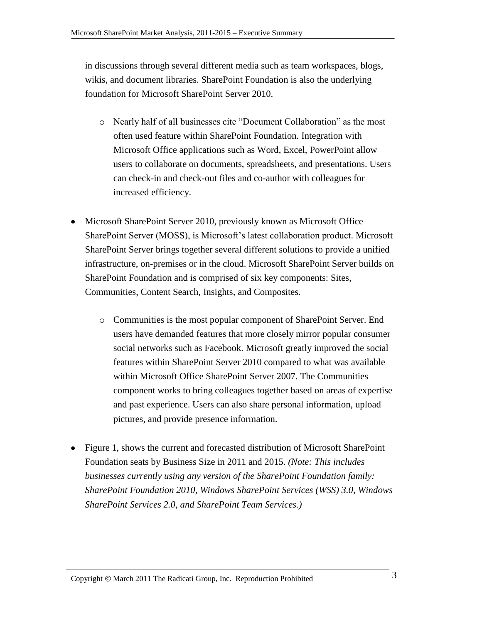in discussions through several different media such as team workspaces, blogs, wikis, and document libraries. SharePoint Foundation is also the underlying foundation for Microsoft SharePoint Server 2010.

- o Nearly half of all businesses cite "Document Collaboration" as the most often used feature within SharePoint Foundation. Integration with Microsoft Office applications such as Word, Excel, PowerPoint allow users to collaborate on documents, spreadsheets, and presentations. Users can check-in and check-out files and co-author with colleagues for increased efficiency.
- Microsoft SharePoint Server 2010, previously known as Microsoft Office SharePoint Server (MOSS), is Microsoft's latest collaboration product. Microsoft SharePoint Server brings together several different solutions to provide a unified infrastructure, on-premises or in the cloud. Microsoft SharePoint Server builds on SharePoint Foundation and is comprised of six key components: Sites, Communities, Content Search, Insights, and Composites.
	- o Communities is the most popular component of SharePoint Server. End users have demanded features that more closely mirror popular consumer social networks such as Facebook. Microsoft greatly improved the social features within SharePoint Server 2010 compared to what was available within Microsoft Office SharePoint Server 2007. The Communities component works to bring colleagues together based on areas of expertise and past experience. Users can also share personal information, upload pictures, and provide presence information.
- Figure 1, shows the current and forecasted distribution of Microsoft SharePoint Foundation seats by Business Size in 2011 and 2015. *(Note: This includes businesses currently using any version of the SharePoint Foundation family: SharePoint Foundation 2010, Windows SharePoint Services (WSS) 3.0, Windows SharePoint Services 2.0, and SharePoint Team Services.)*